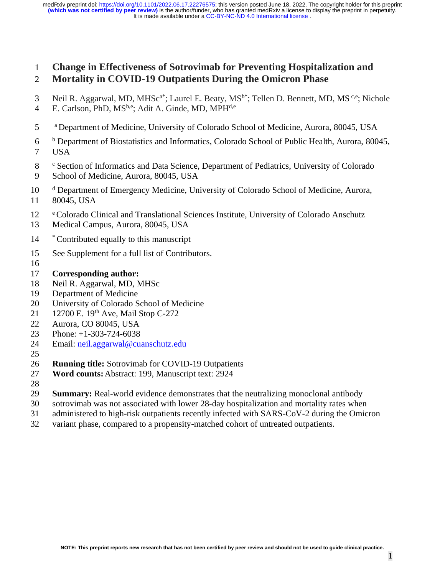# **Change in Effectiveness of Sotrovimab for Preventing Hospitalization and Mortality in COVID-19 Outpatients During the Omicron Phase**

- 3 Neil R. Aggarwal, MD, MHSc<sup>a\*</sup>; Laurel E. Beaty,  $MS^{b*}$ ; Tellen D. Bennett, MD, MS<sup>c,e</sup>; Nichole 4 E. Carlson, PhD, MS<sup>b,e</sup>; Adit A. Ginde, MD, MPH<sup>d,e</sup>
- <sup>a</sup> Department of Medicine, University of Colorado School of Medicine, Aurora, 80045, USA
- <sup>b</sup> Department of Biostatistics and Informatics, Colorado School of Public Health, Aurora, 80045, USA
- <sup>c</sup> Section of Informatics and Data Science, Department of Pediatrics, University of Colorado School of Medicine, Aurora, 80045, USA
- 10 d Department of Emergency Medicine, University of Colorado School of Medicine, Aurora, 80045, USA
- <sup>e</sup>Colorado Clinical and Translational Sciences Institute, University of Colorado Anschutz
- Medical Campus, Aurora, 80045, USA
- \* Contributed equally to this manuscript
- See Supplement for a full list of Contributors.
- 
- **Corresponding author:**
- Neil R. Aggarwal, MD, MHSc
- Department of Medicine
- University of Colorado School of Medicine
- 21 12700 E. 19th Ave, Mail Stop C-272
- Aurora, CO 80045, USA
- Phone: +1-303-724-6038
- Email: [neil.aggarwal@cuanschutz.edu](mailto:neil.aggarwal@cuanschutz.edu)
- 
- **Running title:** Sotrovimab for COVID-19 Outpatients
- **Word counts:**Abstract: 199, Manuscript text: 2924
- 
- **Summary:** Real-world evidence demonstrates that the neutralizing monoclonal antibody
- sotrovimab was not associated with lower 28-day hospitalization and mortality rates when
- administered to high-risk outpatients recently infected with SARS-CoV-2 during the Omicron
- variant phase, compared to a propensity-matched cohort of untreated outpatients.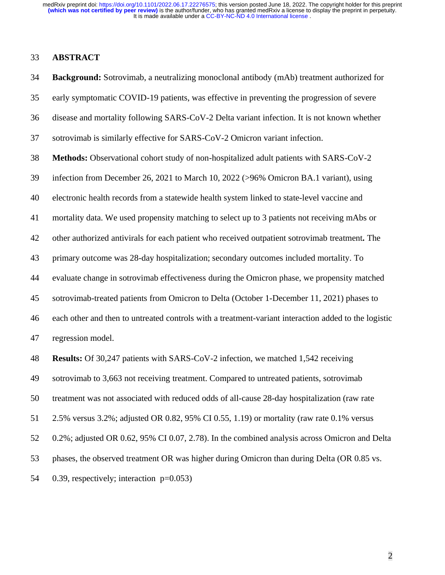#### **ABSTRACT**

 **Background:** Sotrovimab, a neutralizing monoclonal antibody (mAb) treatment authorized for early symptomatic COVID-19 patients, was effective in preventing the progression of severe disease and mortality following SARS-CoV-2 Delta variant infection. It is not known whether sotrovimab is similarly effective for SARS-CoV-2 Omicron variant infection. **Methods:** Observational cohort study of non-hospitalized adult patients with SARS-CoV-2 infection from December 26, 2021 to March 10, 2022 (>96% Omicron BA.1 variant), using electronic health records from a statewide health system linked to state-level vaccine and mortality data. We used propensity matching to select up to 3 patients not receiving mAbs or other authorized antivirals for each patient who received outpatient sotrovimab treatment**.** The primary outcome was 28-day hospitalization; secondary outcomes included mortality. To evaluate change in sotrovimab effectiveness during the Omicron phase, we propensity matched sotrovimab-treated patients from Omicron to Delta (October 1-December 11, 2021) phases to each other and then to untreated controls with a treatment-variant interaction added to the logistic regression model. **Results:** Of 30,247 patients with SARS-CoV-2 infection, we matched 1,542 receiving sotrovimab to 3,663 not receiving treatment. Compared to untreated patients, sotrovimab treatment was not associated with reduced odds of all-cause 28-day hospitalization (raw rate 2.5% versus 3.2%; adjusted OR 0.82, 95% CI 0.55, 1.19) or mortality (raw rate 0.1% versus 0.2%; adjusted OR 0.62, 95% CI 0.07, 2.78). In the combined analysis across Omicron and Delta phases, the observed treatment OR was higher during Omicron than during Delta (OR 0.85 vs. 0.39, respectively; interaction p=0.053)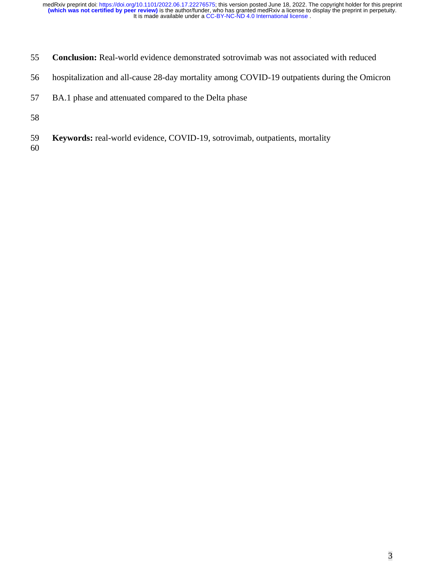- **Conclusion:** Real-world evidence demonstrated sotrovimab was not associated with reduced
- hospitalization and all-cause 28-day mortality among COVID-19 outpatients during the Omicron
- BA.1 phase and attenuated compared to the Delta phase
- 
- **Keywords:** real-world evidence, COVID-19, sotrovimab, outpatients, mortality
-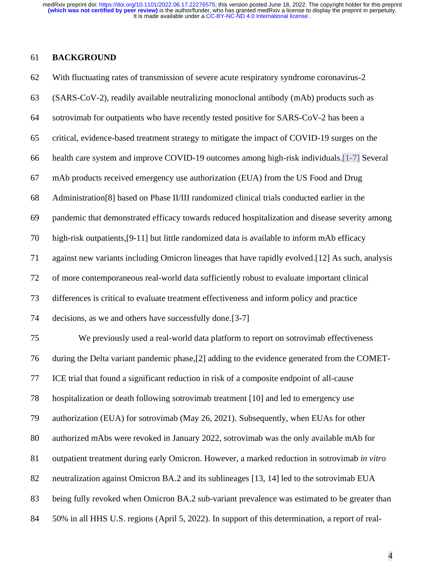## **BACKGROUND**

| 62 | With fluctuating rates of transmission of severe acute respiratory syndrome coronavirus-2         |
|----|---------------------------------------------------------------------------------------------------|
| 63 | (SARS-CoV-2), readily available neutralizing monoclonal antibody (mAb) products such as           |
| 64 | sotrovimab for outpatients who have recently tested positive for SARS-CoV-2 has been a            |
| 65 | critical, evidence-based treatment strategy to mitigate the impact of COVID-19 surges on the      |
| 66 | health care system and improve COVID-19 outcomes among high-risk individuals. [1-7] Several       |
| 67 | mAb products received emergency use authorization (EUA) from the US Food and Drug                 |
| 68 | Administration[8] based on Phase II/III randomized clinical trials conducted earlier in the       |
| 69 | pandemic that demonstrated efficacy towards reduced hospitalization and disease severity among    |
| 70 | high-risk outpatients, [9-11] but little randomized data is available to inform mAb efficacy      |
| 71 | against new variants including Omicron lineages that have rapidly evolved. [12] As such, analysis |
| 72 | of more contemporaneous real-world data sufficiently robust to evaluate important clinical        |
| 73 | differences is critical to evaluate treatment effectiveness and inform policy and practice        |
| 74 | decisions, as we and others have successfully done.[3-7]                                          |
| 75 | We previously used a real-world data platform to report on sotrovimab effectiveness               |
| 76 | during the Delta variant pandemic phase, [2] adding to the evidence generated from the COMET-     |
| 77 | ICE trial that found a significant reduction in risk of a composite endpoint of all-cause         |
| 78 | hospitalization or death following sotrovimab treatment [10] and led to emergency use             |
| 79 | authorization (EUA) for sotrovimab (May 26, 2021). Subsequently, when EUAs for other              |
| 80 | authorized mAbs were revoked in January 2022, sotrovimab was the only available mAb for           |
| 81 | outpatient treatment during early Omicron. However, a marked reduction in sotrovimab in vitro     |
| 82 | neutralization against Omicron BA.2 and its sublineages [13, 14] led to the sotrovimab EUA        |
| 83 | being fully revoked when Omicron BA.2 sub-variant prevalence was estimated to be greater than     |
| 84 | 50% in all HHS U.S. regions (April 5, 2022). In support of this determination, a report of real-  |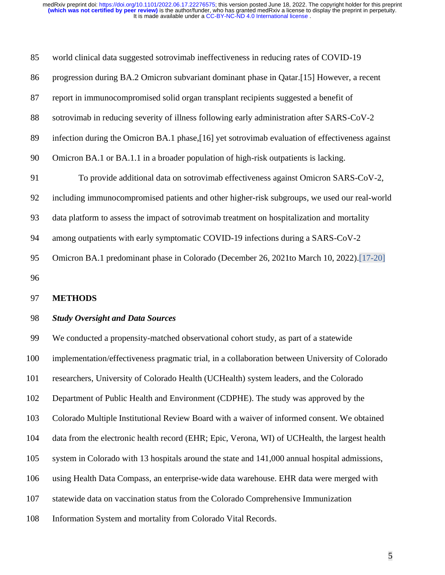| 85  | world clinical data suggested sotrovimab ineffectiveness in reducing rates of COVID-19           |  |  |  |  |  |
|-----|--------------------------------------------------------------------------------------------------|--|--|--|--|--|
| 86  | progression during BA.2 Omicron subvariant dominant phase in Qatar.[15] However, a recent        |  |  |  |  |  |
| 87  | report in immunocompromised solid organ transplant recipients suggested a benefit of             |  |  |  |  |  |
| 88  | sotrovimab in reducing severity of illness following early administration after SARS-CoV-2       |  |  |  |  |  |
| 89  | infection during the Omicron BA.1 phase, [16] yet sotrovimab evaluation of effectiveness against |  |  |  |  |  |
| 90  | Omicron BA.1 or BA.1.1 in a broader population of high-risk outpatients is lacking.              |  |  |  |  |  |
| 91  | To provide additional data on sotrovimab effectiveness against Omicron SARS-CoV-2,               |  |  |  |  |  |
| 92  | including immunocompromised patients and other higher-risk subgroups, we used our real-world     |  |  |  |  |  |
| 93  | data platform to assess the impact of sotrovimab treatment on hospitalization and mortality      |  |  |  |  |  |
| 94  | among outpatients with early symptomatic COVID-19 infections during a SARS-CoV-2                 |  |  |  |  |  |
| 95  | Omicron BA.1 predominant phase in Colorado (December 26, 2021to March 10, 2022).[17-20]          |  |  |  |  |  |
| 96  |                                                                                                  |  |  |  |  |  |
| 97  | <b>METHODS</b>                                                                                   |  |  |  |  |  |
| 98  | <b>Study Oversight and Data Sources</b>                                                          |  |  |  |  |  |
| 99  | We conducted a propensity-matched observational cohort study, as part of a statewide             |  |  |  |  |  |
| 100 | implementation/effectiveness pragmatic trial, in a collaboration between University of Colorado  |  |  |  |  |  |
| 101 | researchers, University of Colorado Health (UCHealth) system leaders, and the Colorado           |  |  |  |  |  |
| 102 | Department of Public Health and Environment (CDPHE). The study was approved by the               |  |  |  |  |  |
| 103 | Colorado Multiple Institutional Review Board with a waiver of informed consent. We obtained      |  |  |  |  |  |
| 104 | data from the electronic health record (EHR; Epic, Verona, WI) of UCHealth, the largest health   |  |  |  |  |  |
| 105 | system in Colorado with 13 hospitals around the state and 141,000 annual hospital admissions,    |  |  |  |  |  |
| 106 | using Health Data Compass, an enterprise-wide data warehouse. EHR data were merged with          |  |  |  |  |  |

- statewide data on vaccination status from the Colorado Comprehensive Immunization
- Information System and mortality from Colorado Vital Records.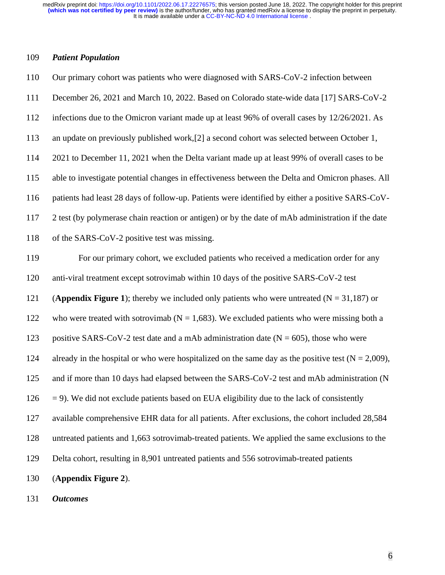## *Patient Population*

| 110 | Our primary cohort was patients who were diagnosed with SARS-CoV-2 infection between                   |  |  |  |  |
|-----|--------------------------------------------------------------------------------------------------------|--|--|--|--|
| 111 | December 26, 2021 and March 10, 2022. Based on Colorado state-wide data [17] SARS-CoV-2                |  |  |  |  |
| 112 | infections due to the Omicron variant made up at least 96% of overall cases by 12/26/2021. As          |  |  |  |  |
| 113 | an update on previously published work, [2] a second cohort was selected between October 1,            |  |  |  |  |
| 114 | 2021 to December 11, 2021 when the Delta variant made up at least 99% of overall cases to be           |  |  |  |  |
| 115 | able to investigate potential changes in effectiveness between the Delta and Omicron phases. All       |  |  |  |  |
| 116 | patients had least 28 days of follow-up. Patients were identified by either a positive SARS-CoV-       |  |  |  |  |
| 117 | 2 test (by polymerase chain reaction or antigen) or by the date of mAb administration if the date      |  |  |  |  |
| 118 | of the SARS-CoV-2 positive test was missing.                                                           |  |  |  |  |
| 119 | For our primary cohort, we excluded patients who received a medication order for any                   |  |  |  |  |
| 120 | anti-viral treatment except sotrovimab within 10 days of the positive SARS-CoV-2 test                  |  |  |  |  |
| 121 | (Appendix Figure 1); thereby we included only patients who were untreated ( $N = 31,187$ ) or          |  |  |  |  |
| 122 | who were treated with sotrovimab ( $N = 1,683$ ). We excluded patients who were missing both a         |  |  |  |  |
| 123 | positive SARS-CoV-2 test date and a mAb administration date ( $N = 605$ ), those who were              |  |  |  |  |
| 124 | already in the hospital or who were hospitalized on the same day as the positive test ( $N = 2,009$ ), |  |  |  |  |
| 125 | and if more than 10 days had elapsed between the SARS-CoV-2 test and mAb administration (N             |  |  |  |  |
| 126 | $=$ 9). We did not exclude patients based on EUA eligibility due to the lack of consistently           |  |  |  |  |
| 127 | available comprehensive EHR data for all patients. After exclusions, the cohort included 28,584        |  |  |  |  |
| 128 | untreated patients and 1,663 sotrovimab-treated patients. We applied the same exclusions to the        |  |  |  |  |
| 129 | Delta cohort, resulting in 8,901 untreated patients and 556 sotrovimab-treated patients                |  |  |  |  |
| 130 | (Appendix Figure 2).                                                                                   |  |  |  |  |
| 131 | <b>Outcomes</b>                                                                                        |  |  |  |  |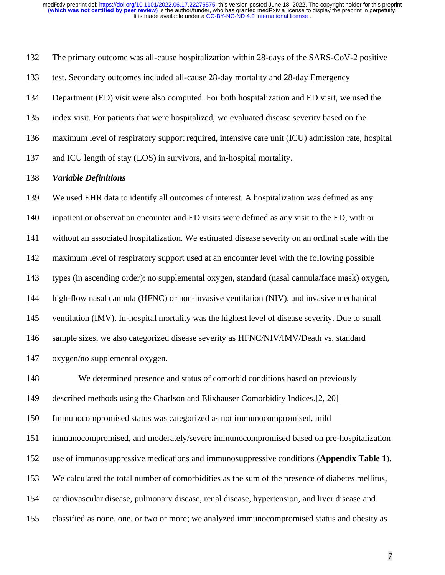The primary outcome was all-cause hospitalization within 28-days of the SARS-CoV-2 positive test. Secondary outcomes included all-cause 28-day mortality and 28-day Emergency Department (ED) visit were also computed. For both hospitalization and ED visit, we used the index visit. For patients that were hospitalized, we evaluated disease severity based on the maximum level of respiratory support required, intensive care unit (ICU) admission rate, hospital and ICU length of stay (LOS) in survivors, and in-hospital mortality.

#### *Variable Definitions*

 We used EHR data to identify all outcomes of interest. A hospitalization was defined as any inpatient or observation encounter and ED visits were defined as any visit to the ED, with or without an associated hospitalization. We estimated disease severity on an ordinal scale with the maximum level of respiratory support used at an encounter level with the following possible types (in ascending order): no supplemental oxygen, standard (nasal cannula/face mask) oxygen,

high-flow nasal cannula (HFNC) or non-invasive ventilation (NIV), and invasive mechanical

ventilation (IMV). In-hospital mortality was the highest level of disease severity. Due to small

sample sizes, we also categorized disease severity as HFNC/NIV/IMV/Death vs. standard

oxygen/no supplemental oxygen.

 We determined presence and status of comorbid conditions based on previously described methods using the Charlson and Elixhauser Comorbidity Indices.[2, 20] Immunocompromised status was categorized as not immunocompromised, mild immunocompromised, and moderately/severe immunocompromised based on pre-hospitalization use of immunosuppressive medications and immunosuppressive conditions (**Appendix Table 1**). We calculated the total number of comorbidities as the sum of the presence of diabetes mellitus, cardiovascular disease, pulmonary disease, renal disease, hypertension, and liver disease and classified as none, one, or two or more; we analyzed immunocompromised status and obesity as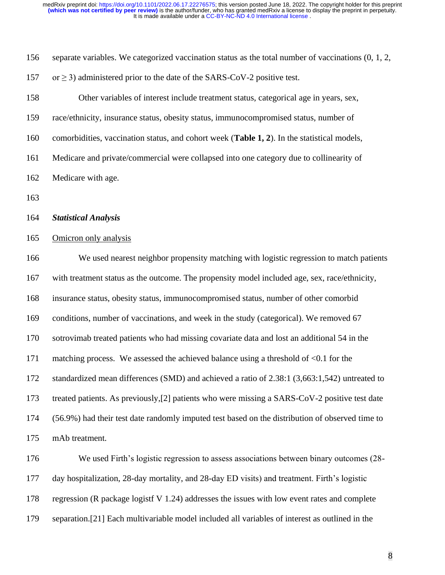| 156 | separate variables. We categorized vaccination status as the total number of vaccinations $(0, 1, 2, 3)$ |  |  |  |  |  |
|-----|----------------------------------------------------------------------------------------------------------|--|--|--|--|--|
| 157 | or $\geq$ 3) administered prior to the date of the SARS-CoV-2 positive test.                             |  |  |  |  |  |
| 158 | Other variables of interest include treatment status, categorical age in years, sex,                     |  |  |  |  |  |
| 159 | race/ethnicity, insurance status, obesity status, immunocompromised status, number of                    |  |  |  |  |  |
| 160 | comorbidities, vaccination status, and cohort week (Table 1, 2). In the statistical models,              |  |  |  |  |  |
| 161 | Medicare and private/commercial were collapsed into one category due to collinearity of                  |  |  |  |  |  |
| 162 | Medicare with age.                                                                                       |  |  |  |  |  |
| 163 |                                                                                                          |  |  |  |  |  |
| 164 | <b>Statistical Analysis</b>                                                                              |  |  |  |  |  |
| 165 | Omicron only analysis                                                                                    |  |  |  |  |  |
| 166 | We used nearest neighbor propensity matching with logistic regression to match patients                  |  |  |  |  |  |
| 167 | with treatment status as the outcome. The propensity model included age, sex, race/ethnicity,            |  |  |  |  |  |
| 168 | insurance status, obesity status, immunocompromised status, number of other comorbid                     |  |  |  |  |  |
| 169 | conditions, number of vaccinations, and week in the study (categorical). We removed 67                   |  |  |  |  |  |
| 170 | sotrovimab treated patients who had missing covariate data and lost an additional 54 in the              |  |  |  |  |  |
| 171 | matching process. We assessed the achieved balance using a threshold of $\leq 0.1$ for the               |  |  |  |  |  |
| 172 | standardized mean differences (SMD) and achieved a ratio of 2.38:1 (3,663:1,542) untreated to            |  |  |  |  |  |
| 173 | treated patients. As previously, [2] patients who were missing a SARS-CoV-2 positive test date           |  |  |  |  |  |
| 174 | (56.9%) had their test date randomly imputed test based on the distribution of observed time to          |  |  |  |  |  |
| 175 | mAb treatment.                                                                                           |  |  |  |  |  |
| 176 | We used Firth's logistic regression to assess associations between binary outcomes (28-                  |  |  |  |  |  |
| 177 | day hospitalization, 28-day mortality, and 28-day ED visits) and treatment. Firth's logistic             |  |  |  |  |  |
| 178 | regression (R package logistf V 1.24) addresses the issues with low event rates and complete             |  |  |  |  |  |
| 179 | separation.[21] Each multivariable model included all variables of interest as outlined in the           |  |  |  |  |  |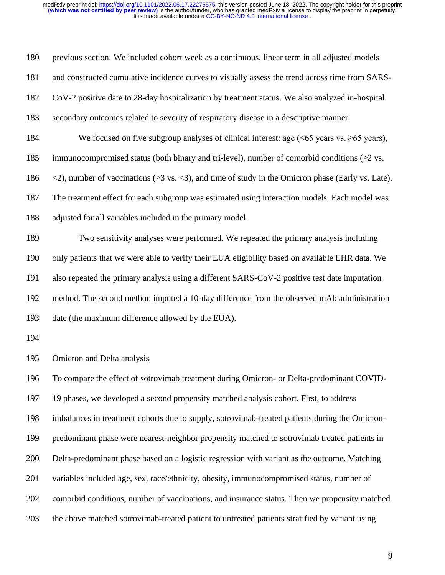| 180 | previous section. We included cohort week as a continuous, linear term in all adjusted models                                              |
|-----|--------------------------------------------------------------------------------------------------------------------------------------------|
| 181 | and constructed cumulative incidence curves to visually assess the trend across time from SARS-                                            |
| 182 | CoV-2 positive date to 28-day hospitalization by treatment status. We also analyzed in-hospital                                            |
| 183 | secondary outcomes related to severity of respiratory disease in a descriptive manner.                                                     |
| 184 | We focused on five subgroup analyses of clinical interest: age $(55$ years vs. $\geq 65$ years),                                           |
| 185 | immunocompromised status (both binary and tri-level), number of comorbid conditions $(\geq 2 \text{ vs.})$                                 |
| 186 | $\langle 2 \rangle$ , number of vaccinations ( $\geq$ 3 vs. $\langle 3 \rangle$ , and time of study in the Omicron phase (Early vs. Late). |
| 187 | The treatment effect for each subgroup was estimated using interaction models. Each model was                                              |
| 188 | adjusted for all variables included in the primary model.                                                                                  |
| 189 | Two sensitivity analyses were performed. We repeated the primary analysis including                                                        |
| 190 | only patients that we were able to verify their EUA eligibility based on available EHR data. We                                            |
| 191 | also repeated the primary analysis using a different SARS-CoV-2 positive test date imputation                                              |
| 192 | method. The second method imputed a 10-day difference from the observed mAb administration                                                 |
| 193 | date (the maximum difference allowed by the EUA).                                                                                          |
| 194 |                                                                                                                                            |
| 195 | <b>Omicron</b> and Delta analysis                                                                                                          |
| 196 | To compare the effect of sotrovimab treatment during Omicron- or Delta-predominant COVID-                                                  |
| 197 | 19 phases, we developed a second propensity matched analysis cohort. First, to address                                                     |
| 198 | imbalances in treatment cohorts due to supply, sotrovimab-treated patients during the Omicron-                                             |
| 199 | predominant phase were nearest-neighbor propensity matched to sotrovimab treated patients in                                               |
| 200 | Delta-predominant phase based on a logistic regression with variant as the outcome. Matching                                               |
| 201 | variables included age, sex, race/ethnicity, obesity, immunocompromised status, number of                                                  |
| 202 | comorbid conditions, number of vaccinations, and insurance status. Then we propensity matched                                              |
| 203 | the above matched sotrovimab-treated patient to untreated patients stratified by variant using                                             |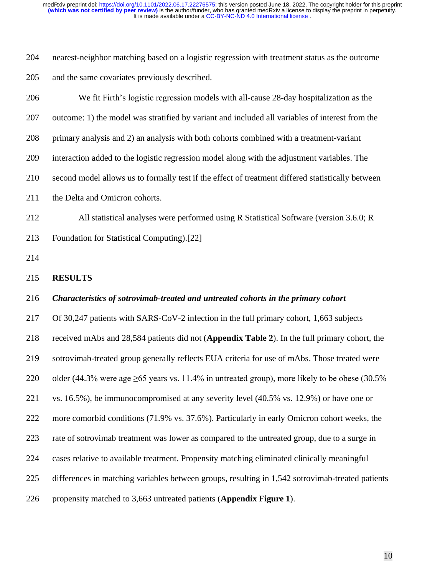| 204 | nearest-neighbor matching based on a logistic regression with treatment status as the outcome |
|-----|-----------------------------------------------------------------------------------------------|
| 205 | and the same covariates previously described.                                                 |

| 206 | We fit Firth's logistic regression models with all-cause 28-day hospitalization as the              |
|-----|-----------------------------------------------------------------------------------------------------|
| 207 | outcome: 1) the model was stratified by variant and included all variables of interest from the     |
| 208 | primary analysis and 2) an analysis with both cohorts combined with a treatment-variant             |
| 209 | interaction added to the logistic regression model along with the adjustment variables. The         |
| 210 | second model allows us to formally test if the effect of treatment differed statistically between   |
| 211 | the Delta and Omicron cohorts.                                                                      |
| 212 | All statistical analyses were performed using R Statistical Software (version 3.6.0; R              |
| 213 | Foundation for Statistical Computing).[22]                                                          |
| 214 |                                                                                                     |
| 215 | <b>RESULTS</b>                                                                                      |
| 216 | Characteristics of sotrovimab-treated and untreated cohorts in the primary cohort                   |
| 217 | Of 30,247 patients with SARS-CoV-2 infection in the full primary cohort, 1,663 subjects             |
| 218 | received mAbs and 28,584 patients did not (Appendix Table 2). In the full primary cohort, the       |
| 219 | sotrovimab-treated group generally reflects EUA criteria for use of mAbs. Those treated were        |
| 220 | older (44.3% were age $\geq 65$ years vs. 11.4% in untreated group), more likely to be obese (30.5% |
| 221 | vs. 16.5%), be immunocompromised at any severity level (40.5% vs. 12.9%) or have one or             |
| 222 | more comorbid conditions (71.9% vs. 37.6%). Particularly in early Omicron cohort weeks, the         |
| 223 | rate of sotrovimab treatment was lower as compared to the untreated group, due to a surge in        |
| 224 | cases relative to available treatment. Propensity matching eliminated clinically meaningful         |
| 225 | differences in matching variables between groups, resulting in 1,542 sotrovimab-treated patients    |
| 226 | propensity matched to 3,663 untreated patients (Appendix Figure 1).                                 |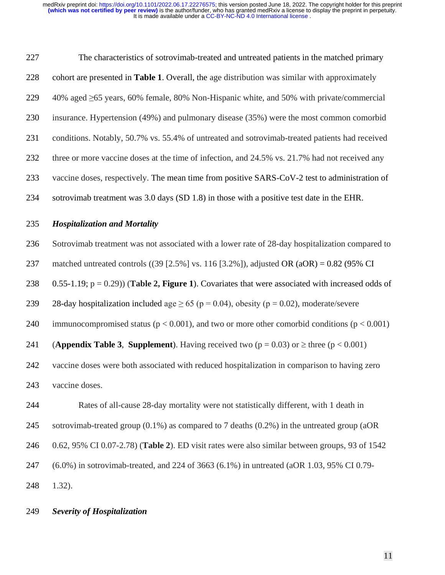| 227 | The characteristics of sotrovimab-treated and untreated patients in the matched primary             |  |  |  |  |  |
|-----|-----------------------------------------------------------------------------------------------------|--|--|--|--|--|
| 228 | cohort are presented in Table 1. Overall, the age distribution was similar with approximately       |  |  |  |  |  |
| 229 | 40% aged ≥65 years, 60% female, 80% Non-Hispanic white, and 50% with private/commercial             |  |  |  |  |  |
| 230 | insurance. Hypertension (49%) and pulmonary disease (35%) were the most common comorbid             |  |  |  |  |  |
| 231 | conditions. Notably, 50.7% vs. 55.4% of untreated and sotrovimab-treated patients had received      |  |  |  |  |  |
| 232 | three or more vaccine doses at the time of infection, and 24.5% vs. 21.7% had not received any      |  |  |  |  |  |
| 233 | vaccine doses, respectively. The mean time from positive SARS-CoV-2 test to administration of       |  |  |  |  |  |
| 234 | sotrovimab treatment was 3.0 days (SD 1.8) in those with a positive test date in the EHR.           |  |  |  |  |  |
|     |                                                                                                     |  |  |  |  |  |
| 235 | <b>Hospitalization and Mortality</b>                                                                |  |  |  |  |  |
| 236 | Sotrovimab treatment was not associated with a lower rate of 28-day hospitalization compared to     |  |  |  |  |  |
| 237 | matched untreated controls ((39 [2.5%] vs. 116 [3.2%]), adjusted OR (aOR) = $0.82$ (95% CI          |  |  |  |  |  |
| 238 | 0.55-1.19; $p = 0.29$ ) (Table 2, Figure 1). Covariates that were associated with increased odds of |  |  |  |  |  |
| 239 | 28-day hospitalization included age $\geq 65$ (p = 0.04), obesity (p = 0.02), moderate/severe       |  |  |  |  |  |
| 240 | immunocompromised status ( $p < 0.001$ ), and two or more other comorbid conditions ( $p < 0.001$ ) |  |  |  |  |  |
| 241 | (Appendix Table 3, Supplement). Having received two ( $p = 0.03$ ) or $\ge$ three ( $p < 0.001$ )   |  |  |  |  |  |

vaccine doses.

 Rates of all-cause 28-day mortality were not statistically different, with 1 death in sotrovimab-treated group (0.1%) as compared to 7 deaths (0.2%) in the untreated group (aOR 0.62, 95% CI 0.07-2.78) (**Table 2**). ED visit rates were also similar between groups, 93 of 1542 (6.0%) in sotrovimab-treated, and 224 of 3663 (6.1%) in untreated (aOR 1.03, 95% CI 0.79- 1.32).

#### *Severity of Hospitalization*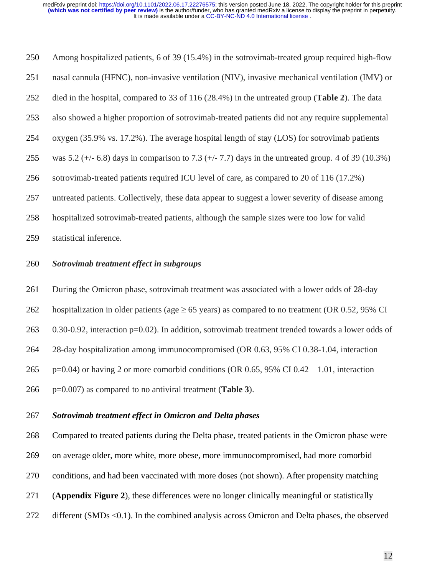It is made available under a [CC-BY-NC-ND 4.0 International license](http://creativecommons.org/licenses/by-nc-nd/4.0/) . **(which was not certified by peer review)** is the author/funder, who has granted medRxiv a license to display the preprint in perpetuity. medRxiv preprint doi: [https://doi.org/10.1101/2022.06.17.22276575;](https://doi.org/10.1101/2022.06.17.22276575) this version posted June 18, 2022. The copyright holder for this preprint

 Among hospitalized patients, 6 of 39 (15.4%) in the sotrovimab-treated group required high-flow nasal cannula (HFNC), non-invasive ventilation (NIV), invasive mechanical ventilation (IMV) or died in the hospital, compared to 33 of 116 (28.4%) in the untreated group (**Table 2**). The data also showed a higher proportion of sotrovimab-treated patients did not any require supplemental oxygen (35.9% vs. 17.2%). The average hospital length of stay (LOS) for sotrovimab patients was 5.2 (+/- 6.8) days in comparison to 7.3 (+/- 7.7) days in the untreated group. 4 of 39 (10.3%) sotrovimab-treated patients required ICU level of care, as compared to 20 of 116 (17.2%) untreated patients. Collectively, these data appear to suggest a lower severity of disease among hospitalized sotrovimab-treated patients, although the sample sizes were too low for valid

statistical inference.

#### *Sotrovimab treatment effect in subgroups*

During the Omicron phase, sotrovimab treatment was associated with a lower odds of 28-day

262 hospitalization in older patients (age  $\geq$  65 years) as compared to no treatment (OR 0.52, 95% CI

0.30-0.92, interaction p=0.02). In addition, sotrovimab treatment trended towards a lower odds of

28-day hospitalization among immunocompromised (OR 0.63, 95% CI 0.38-1.04, interaction

p=0.04) or having 2 or more comorbid conditions (OR 0.65, 95% CI 0.42 – 1.01, interaction

p=0.007) as compared to no antiviral treatment (**Table 3**).

#### *Sotrovimab treatment effect in Omicron and Delta phases*

 Compared to treated patients during the Delta phase, treated patients in the Omicron phase were on average older, more white, more obese, more immunocompromised, had more comorbid conditions, and had been vaccinated with more doses (not shown). After propensity matching (**Appendix Figure 2**), these differences were no longer clinically meaningful or statistically different (SMDs <0.1). In the combined analysis across Omicron and Delta phases, the observed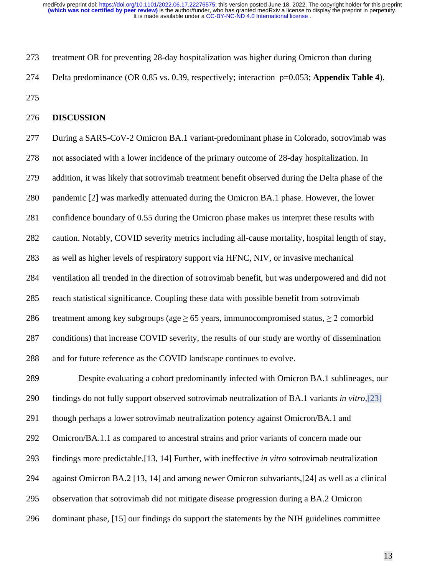It is made available under a [CC-BY-NC-ND 4.0 International license](http://creativecommons.org/licenses/by-nc-nd/4.0/) . **(which was not certified by peer review)** is the author/funder, who has granted medRxiv a license to display the preprint in perpetuity. medRxiv preprint doi: [https://doi.org/10.1101/2022.06.17.22276575;](https://doi.org/10.1101/2022.06.17.22276575) this version posted June 18, 2022. The copyright holder for this preprint

 treatment OR for preventing 28-day hospitalization was higher during Omicron than during Delta predominance (OR 0.85 vs. 0.39, respectively; interaction p=0.053; **Appendix Table 4**). 

#### **DISCUSSION**

 During a SARS-CoV-2 Omicron BA.1 variant-predominant phase in Colorado, sotrovimab was not associated with a lower incidence of the primary outcome of 28-day hospitalization. In addition, it was likely that sotrovimab treatment benefit observed during the Delta phase of the pandemic [2] was markedly attenuated during the Omicron BA.1 phase. However, the lower confidence boundary of 0.55 during the Omicron phase makes us interpret these results with caution. Notably, COVID severity metrics including all-cause mortality, hospital length of stay, as well as higher levels of respiratory support via HFNC, NIV, or invasive mechanical ventilation all trended in the direction of sotrovimab benefit, but was underpowered and did not reach statistical significance. Coupling these data with possible benefit from sotrovimab 286 treatment among key subgroups (age  $\geq$  65 years, immunocompromised status,  $\geq$  2 comorbid conditions) that increase COVID severity, the results of our study are worthy of dissemination and for future reference as the COVID landscape continues to evolve. Despite evaluating a cohort predominantly infected with Omicron BA.1 sublineages, our

findings do not fully support observed sotrovimab neutralization of BA.1 variants *in vitro*,[23]

though perhaps a lower sotrovimab neutralization potency against Omicron/BA.1 and

Omicron/BA.1.1 as compared to ancestral strains and prior variants of concern made our

findings more predictable.[13, 14] Further, with ineffective *in vitro* sotrovimab neutralization

against Omicron BA.2 [13, 14] and among newer Omicron subvariants,[24] as well as a clinical

observation that sotrovimab did not mitigate disease progression during a BA.2 Omicron

dominant phase, [15] our findings do support the statements by the NIH guidelines committee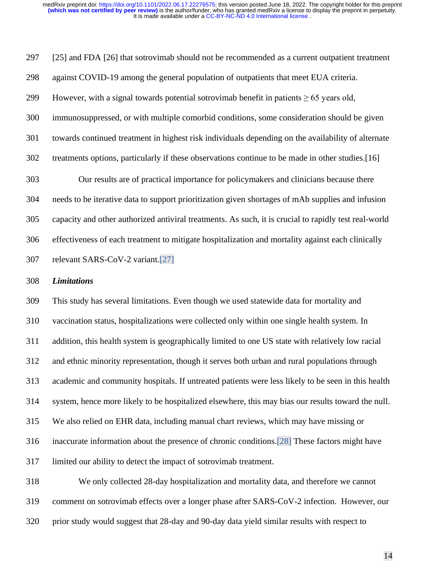[25] and FDA [26] that sotrovimab should not be recommended as a current outpatient treatment against COVID-19 among the general population of outpatients that meet EUA criteria. 299 However, with a signal towards potential sotrovimab benefit in patients  $\geq 65$  years old, immunosuppressed, or with multiple comorbid conditions, some consideration should be given towards continued treatment in highest risk individuals depending on the availability of alternate treatments options, particularly if these observations continue to be made in other studies.[16] Our results are of practical importance for policymakers and clinicians because there needs to be iterative data to support prioritization given shortages of mAb supplies and infusion capacity and other authorized antiviral treatments. As such, it is crucial to rapidly test real-world effectiveness of each treatment to mitigate hospitalization and mortality against each clinically relevant SARS-CoV-2 variant.[27]

#### *Limitations*

 This study has several limitations. Even though we used statewide data for mortality and vaccination status, hospitalizations were collected only within one single health system. In addition, this health system is geographically limited to one US state with relatively low racial and ethnic minority representation, though it serves both urban and rural populations through academic and community hospitals. If untreated patients were less likely to be seen in this health system, hence more likely to be hospitalized elsewhere, this may bias our results toward the null. We also relied on EHR data, including manual chart reviews, which may have missing or inaccurate information about the presence of chronic conditions.[28] These factors might have limited our ability to detect the impact of sotrovimab treatment.

 We only collected 28-day hospitalization and mortality data, and therefore we cannot comment on sotrovimab effects over a longer phase after SARS-CoV-2 infection. However, our prior study would suggest that 28-day and 90-day data yield similar results with respect to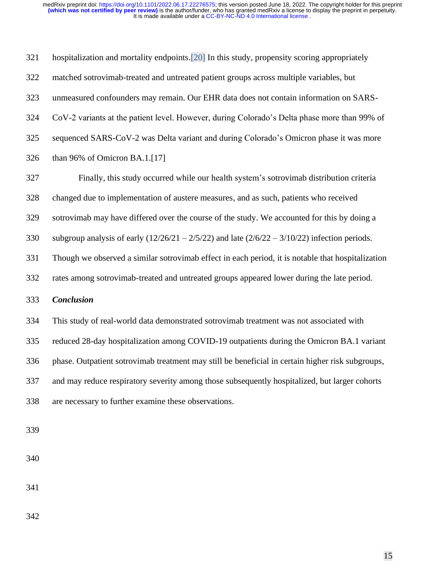| 321 | hospitalization and mortality endpoints. [20] In this study, propensity scoring appropriately     |  |  |  |  |  |
|-----|---------------------------------------------------------------------------------------------------|--|--|--|--|--|
| 322 | matched sotrovimab-treated and untreated patient groups across multiple variables, but            |  |  |  |  |  |
| 323 | unmeasured confounders may remain. Our EHR data does not contain information on SARS-             |  |  |  |  |  |
| 324 | CoV-2 variants at the patient level. However, during Colorado's Delta phase more than 99% of      |  |  |  |  |  |
| 325 | sequenced SARS-CoV-2 was Delta variant and during Colorado's Omicron phase it was more            |  |  |  |  |  |
| 326 | than 96% of Omicron BA.1.[17]                                                                     |  |  |  |  |  |
| 327 | Finally, this study occurred while our health system's sotrovimab distribution criteria           |  |  |  |  |  |
| 328 | changed due to implementation of austere measures, and as such, patients who received             |  |  |  |  |  |
| 329 | sotrovimab may have differed over the course of the study. We accounted for this by doing a       |  |  |  |  |  |
| 330 | subgroup analysis of early $(12/26/21 - 2/5/22)$ and late $(2/6/22 - 3/10/22)$ infection periods. |  |  |  |  |  |
| 331 | Though we observed a similar sotrovimab effect in each period, it is notable that hospitalization |  |  |  |  |  |
| 332 | rates among sotrovimab-treated and untreated groups appeared lower during the late period.        |  |  |  |  |  |
| 333 | <b>Conclusion</b>                                                                                 |  |  |  |  |  |
| 334 | This study of real-world data demonstrated sotrovimab treatment was not associated with           |  |  |  |  |  |
| 335 | reduced 28-day hospitalization among COVID-19 outpatients during the Omicron BA.1 variant         |  |  |  |  |  |
| 336 | phase. Outpatient sotrovimab treatment may still be beneficial in certain higher risk subgroups,  |  |  |  |  |  |
| 337 | and may reduce respiratory severity among those subsequently hospitalized, but larger cohorts     |  |  |  |  |  |
| 338 | are necessary to further examine these observations.                                              |  |  |  |  |  |
|     |                                                                                                   |  |  |  |  |  |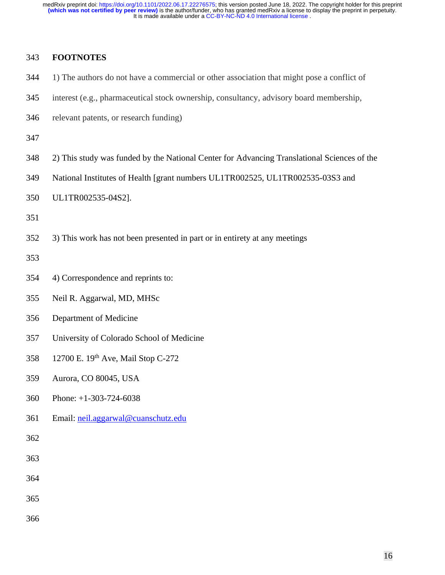## **FOOTNOTES**

- 1) The authors do not have a commercial or other association that might pose a conflict of
- interest (e.g., pharmaceutical stock ownership, consultancy, advisory board membership,
- relevant patents, or research funding)

- 2) This study was funded by the National Center for Advancing Translational Sciences of the
- National Institutes of Health [grant numbers UL1TR002525, UL1TR002535-03S3 and
- UL1TR002535-04S2].

3) This work has not been presented in part or in entirety at any meetings

- 4) Correspondence and reprints to:
- Neil R. Aggarwal, MD, MHSc
- Department of Medicine
- University of Colorado School of Medicine
- 358 12700 E. 19th Ave, Mail Stop C-272
- Aurora, CO 80045, USA
- Phone: +1-303-724-6038
- Email: [neil.aggarwal@cuanschutz.edu](mailto:neil.aggarwal@cuanschutz.edu)

- 
- 
- 
-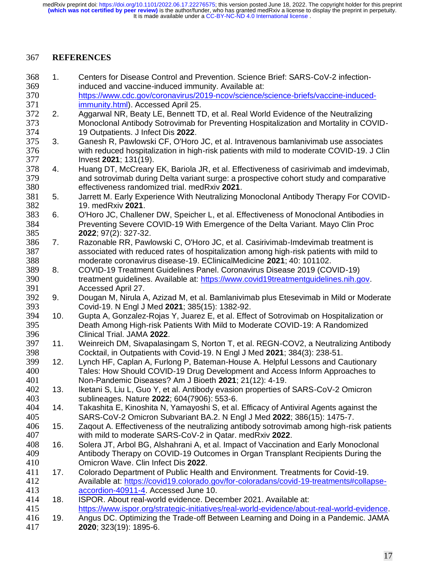It is made available under a [CC-BY-NC-ND 4.0 International license](http://creativecommons.org/licenses/by-nc-nd/4.0/) . **(which was not certified by peer review)** is the author/funder, who has granted medRxiv a license to display the preprint in perpetuity. medRxiv preprint doi: [https://doi.org/10.1101/2022.06.17.22276575;](https://doi.org/10.1101/2022.06.17.22276575) this version posted June 18, 2022. The copyright holder for this preprint

### **REFERENCES**

- 1. Centers for Disease Control and Prevention. Science Brief: SARS-CoV-2 infection-induced and vaccine-induced immunity. Available at:
- [https://www.cdc.gov/coronavirus/2019-ncov/science/science-briefs/vaccine-induced-](https://www.cdc.gov/coronavirus/2019-ncov/science/science-briefs/vaccine-induced-immunity.html)[immunity.html\)](https://www.cdc.gov/coronavirus/2019-ncov/science/science-briefs/vaccine-induced-immunity.html). Accessed April 25.
- 2. Aggarwal NR, Beaty LE, Bennett TD, et al. Real World Evidence of the Neutralizing Monoclonal Antibody Sotrovimab for Preventing Hospitalization and Mortality in COVID-19 Outpatients. J Infect Dis **2022**.
- 3. Ganesh R, Pawlowski CF, O'Horo JC, et al. Intravenous bamlanivimab use associates with reduced hospitalization in high-risk patients with mild to moderate COVID-19. J Clin Invest **2021**; 131(19).
- 4. Huang DT, McCreary EK, Bariola JR, et al. Effectiveness of casirivimab and imdevimab, and sotrovimab during Delta variant surge: a prospective cohort study and comparative effectiveness randomized trial. medRxiv **2021**.
- 5. Jarrett M. Early Experience With Neutralizing Monoclonal Antibody Therapy For COVID-19. medRxiv **2021**.
- 6. O'Horo JC, Challener DW, Speicher L, et al. Effectiveness of Monoclonal Antibodies in Preventing Severe COVID-19 With Emergence of the Delta Variant. Mayo Clin Proc **2022**; 97(2): 327-32.
- 7. Razonable RR, Pawlowski C, O'Horo JC, et al. Casirivimab-Imdevimab treatment is associated with reduced rates of hospitalization among high-risk patients with mild to moderate coronavirus disease-19. EClinicalMedicine **2021**; 40: 101102.
- 8. COVID-19 Treatment Guidelines Panel. Coronavirus Disease 2019 (COVID-19) treatment guidelines. Available at: [https://www.covid19treatmentguidelines.nih.gov.](https://www.covid19treatmentguidelines.nih.gov/) Accessed April 27.
- 9. Dougan M, Nirula A, Azizad M, et al. Bamlanivimab plus Etesevimab in Mild or Moderate Covid-19. N Engl J Med **2021**; 385(15): 1382-92.
- 10. Gupta A, Gonzalez-Rojas Y, Juarez E, et al. Effect of Sotrovimab on Hospitalization or Death Among High-risk Patients With Mild to Moderate COVID-19: A Randomized Clinical Trial. JAMA **2022**.
- 11. Weinreich DM, Sivapalasingam S, Norton T, et al. REGN-COV2, a Neutralizing Antibody Cocktail, in Outpatients with Covid-19. N Engl J Med **2021**; 384(3): 238-51.
- 12. Lynch HF, Caplan A, Furlong P, Bateman-House A. Helpful Lessons and Cautionary Tales: How Should COVID-19 Drug Development and Access Inform Approaches to Non-Pandemic Diseases? Am J Bioeth **2021**; 21(12): 4-19.
- 13. Iketani S, Liu L, Guo Y, et al. Antibody evasion properties of SARS-CoV-2 Omicron sublineages. Nature **2022**; 604(7906): 553-6.
- 14. Takashita E, Kinoshita N, Yamayoshi S, et al. Efficacy of Antiviral Agents against the SARS-CoV-2 Omicron Subvariant BA.2. N Engl J Med **2022**; 386(15): 1475-7.
- 15. Zaqout A. Effectiveness of the neutralizing antibody sotrovimab among high-risk patients with mild to moderate SARS-CoV-2 in Qatar. medRxiv **2022**.
- 16. Solera JT, Arbol BG, Alshahrani A, et al. Impact of Vaccination and Early Monoclonal Antibody Therapy on COVID-19 Outcomes in Organ Transplant Recipients During the Omicron Wave. Clin Infect Dis **2022**.
- 17. Colorado Department of Public Health and Environment. Treatments for Covid-19. Available at: [https://covid19.colorado.gov/for-coloradans/covid-19-treatments#collapse-](https://covid19.colorado.gov/for-coloradans/covid-19-treatments#collapse-accordion-40911-4)[accordion-40911-4.](https://covid19.colorado.gov/for-coloradans/covid-19-treatments#collapse-accordion-40911-4) Accessed June 10.
- 18. ISPOR. About real-world evidence. December 2021. Available at: [https://www.ispor.org/strategic-initiatives/real-world-evidence/about-real-world-evidence.](https://www.ispor.org/strategic-initiatives/real-world-evidence/about-real-world-evidence)
- 19. Angus DC. Optimizing the Trade-off Between Learning and Doing in a Pandemic. JAMA **2020**; 323(19): 1895-6.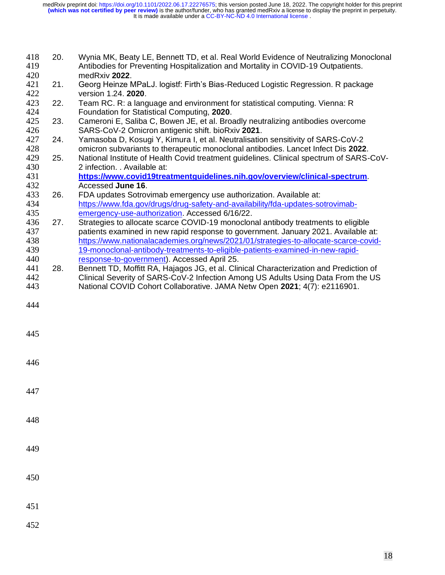| 418<br>419 | 20. | Wynia MK, Beaty LE, Bennett TD, et al. Real World Evidence of Neutralizing Monoclonal<br>Antibodies for Preventing Hospitalization and Mortality in COVID-19 Outpatients.<br>medRxiv 2022. |
|------------|-----|--------------------------------------------------------------------------------------------------------------------------------------------------------------------------------------------|
| 420<br>421 | 21. | Georg Heinze MPaLJ. logistf: Firth's Bias-Reduced Logistic Regression. R package                                                                                                           |
| 422        |     | version 1.24. 2020.                                                                                                                                                                        |
| 423        | 22. | Team RC. R: a language and environment for statistical computing. Vienna: R                                                                                                                |
| 424        |     | Foundation for Statistical Computing, 2020.                                                                                                                                                |
| 425        | 23. | Cameroni E, Saliba C, Bowen JE, et al. Broadly neutralizing antibodies overcome                                                                                                            |
| 426        |     | SARS-CoV-2 Omicron antigenic shift. bioRxiv 2021.                                                                                                                                          |
| 427        | 24. | Yamasoba D, Kosugi Y, Kimura I, et al. Neutralisation sensitivity of SARS-CoV-2                                                                                                            |
| 428        |     | omicron subvariants to therapeutic monoclonal antibodies. Lancet Infect Dis 2022.                                                                                                          |
| 429        | 25. | National Institute of Health Covid treatment guidelines. Clinical spectrum of SARS-CoV-                                                                                                    |
| 430        |     | 2 infection. . Available at:                                                                                                                                                               |
| 431        |     | https://www.covid19treatmentguidelines.nih.gov/overview/clinical-spectrum.                                                                                                                 |
| 432        |     | Accessed June 16.                                                                                                                                                                          |
| 433        | 26. | FDA updates Sotrovimab emergency use authorization. Available at:                                                                                                                          |
| 434        |     | https://www.fda.gov/drugs/drug-safety-and-availability/fda-updates-sotrovimab-                                                                                                             |
| 435        |     | emergency-use-authorization. Accessed 6/16/22.                                                                                                                                             |
| 436        | 27. | Strategies to allocate scarce COVID-19 monoclonal antibody treatments to eligible                                                                                                          |
| 437        |     | patients examined in new rapid response to government. January 2021. Available at:                                                                                                         |
| 438        |     | https://www.nationalacademies.org/news/2021/01/strategies-to-allocate-scarce-covid-                                                                                                        |
| 439        |     | 19-monoclonal-antibody-treatments-to-eligible-patients-examined-in-new-rapid-                                                                                                              |
| 440        |     | response-to-government). Accessed April 25.                                                                                                                                                |
| 441<br>442 | 28. | Bennett TD, Moffitt RA, Hajagos JG, et al. Clinical Characterization and Prediction of                                                                                                     |
| 443        |     | Clinical Severity of SARS-CoV-2 Infection Among US Adults Using Data From the US<br>National COVID Cohort Collaborative. JAMA Netw Open 2021; 4(7): e2116901.                              |
|            |     |                                                                                                                                                                                            |
| 444        |     |                                                                                                                                                                                            |
|            |     |                                                                                                                                                                                            |
|            |     |                                                                                                                                                                                            |
| 445        |     |                                                                                                                                                                                            |
|            |     |                                                                                                                                                                                            |
| 446        |     |                                                                                                                                                                                            |
|            |     |                                                                                                                                                                                            |
|            |     |                                                                                                                                                                                            |
| 447        |     |                                                                                                                                                                                            |
|            |     |                                                                                                                                                                                            |
|            |     |                                                                                                                                                                                            |
| 448        |     |                                                                                                                                                                                            |
|            |     |                                                                                                                                                                                            |
|            |     |                                                                                                                                                                                            |
| 449        |     |                                                                                                                                                                                            |
|            |     |                                                                                                                                                                                            |
|            |     |                                                                                                                                                                                            |
| 450        |     |                                                                                                                                                                                            |
|            |     |                                                                                                                                                                                            |
|            |     |                                                                                                                                                                                            |
| 451        |     |                                                                                                                                                                                            |
| 452        |     |                                                                                                                                                                                            |
|            |     |                                                                                                                                                                                            |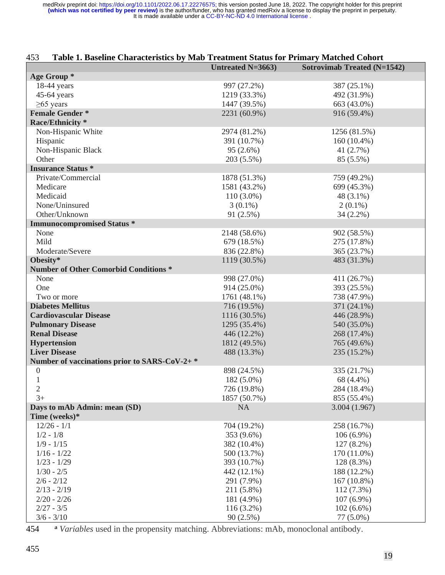| Table 1. Baseline Characteristics by Mab Treatment Status for Primary Matched Cohort<br>453 |                          |                                    |  |  |  |
|---------------------------------------------------------------------------------------------|--------------------------|------------------------------------|--|--|--|
|                                                                                             | <b>Untreated N=3663)</b> | <b>Sotrovimab Treated (N=1542)</b> |  |  |  |
| Age Group *                                                                                 |                          |                                    |  |  |  |
| $18-44$ years                                                                               | 997 (27.2%)              | 387 (25.1%)                        |  |  |  |
| $45-64$ years                                                                               | 1219 (33.3%)             | 492 (31.9%)                        |  |  |  |
| $\geq 65$ years                                                                             | 1447 (39.5%)             | 663 (43.0%)                        |  |  |  |
| <b>Female Gender*</b>                                                                       | 2231 (60.9%)             | 916 (59.4%)                        |  |  |  |
| Race/Ethnicity *                                                                            |                          |                                    |  |  |  |
| Non-Hispanic White                                                                          | 2974 (81.2%)             | 1256 (81.5%)                       |  |  |  |
| Hispanic                                                                                    | 391 (10.7%)              | $160(10.4\%)$                      |  |  |  |
| Non-Hispanic Black                                                                          | 95(2.6%)                 | 41 (2.7%)                          |  |  |  |
| Other                                                                                       | 203 (5.5%)               | 85 (5.5%)                          |  |  |  |
| <b>Insurance Status*</b>                                                                    |                          |                                    |  |  |  |
| Private/Commercial                                                                          | 1878 (51.3%)             | 759 (49.2%)                        |  |  |  |
| Medicare                                                                                    | 1581 (43.2%)             | 699 (45.3%)                        |  |  |  |
| Medicaid                                                                                    | $110(3.0\%)$             | 48 (3.1%)                          |  |  |  |
| None/Uninsured                                                                              | $3(0.1\%)$               | $2(0.1\%)$                         |  |  |  |
| Other/Unknown                                                                               | 91(2.5%)                 | 34 (2.2%)                          |  |  |  |
| <b>Immunocompromised Status *</b>                                                           |                          |                                    |  |  |  |
| None                                                                                        | 2148 (58.6%)             | 902 (58.5%)                        |  |  |  |
| Mild                                                                                        | 679 (18.5%)              | 275 (17.8%)                        |  |  |  |
| Moderate/Severe                                                                             | 836 (22.8%)              | 365 (23.7%)                        |  |  |  |
| Obesity*                                                                                    | 1119 (30.5%)             | 483 (31.3%)                        |  |  |  |
| <b>Number of Other Comorbid Conditions *</b>                                                |                          |                                    |  |  |  |
| None                                                                                        | 998 (27.0%)              | 411 (26.7%)                        |  |  |  |
| One                                                                                         | 914 (25.0%)              | 393 (25.5%)                        |  |  |  |
| Two or more                                                                                 | 1761 (48.1%)             | 738 (47.9%)                        |  |  |  |
| <b>Diabetes Mellitus</b>                                                                    | 716 (19.5%)              | 371 (24.1%)                        |  |  |  |
| <b>Cardiovascular Disease</b>                                                               | 1116 (30.5%)             | 446 (28.9%)                        |  |  |  |
| <b>Pulmonary Disease</b>                                                                    | 1295 (35.4%)             | 540 (35.0%)                        |  |  |  |
| <b>Renal Disease</b>                                                                        | 446 (12.2%)              | 268 (17.4%)                        |  |  |  |
| <b>Hypertension</b>                                                                         | 1812 (49.5%)             | 765 (49.6%)                        |  |  |  |
| <b>Liver Disease</b>                                                                        | 488 (13.3%)              | 235 (15.2%)                        |  |  |  |
| Number of vaccinations prior to SARS-CoV-2+*                                                |                          |                                    |  |  |  |
| $\overline{0}$                                                                              | 898 (24.5%)              | 335 (21.7%)                        |  |  |  |
| $\mathbf{1}$                                                                                | 182 (5.0%)               | 68 (4.4%)                          |  |  |  |
| $\mathbf{2}$                                                                                | 726 (19.8%)              | 284 (18.4%)                        |  |  |  |
| $3+$                                                                                        | 1857 (50.7%)             | 855 (55.4%)                        |  |  |  |
| Days to mAb Admin: mean (SD)                                                                | <b>NA</b>                | 3.004(1.967)                       |  |  |  |
| Time (weeks)*                                                                               |                          |                                    |  |  |  |
| $12/26 - 1/1$                                                                               | 704 (19.2%)              | 258 (16.7%)                        |  |  |  |
| $1/2 - 1/8$                                                                                 | 353 (9.6%)               | $106(6.9\%)$                       |  |  |  |
| $1/9 - 1/15$                                                                                | 382 (10.4%)              | 127 (8.2%)                         |  |  |  |
| $1/16 - 1/22$                                                                               | 500 (13.7%)              | 170 (11.0%)                        |  |  |  |
| $1/23 - 1/29$                                                                               | 393 (10.7%)              | 128 (8.3%)                         |  |  |  |
| $1/30 - 2/5$                                                                                | 442 (12.1%)              | 188 (12.2%)                        |  |  |  |
| $2/6 - 2/12$                                                                                | 291 (7.9%)               | 167 (10.8%)                        |  |  |  |
| $2/13 - 2/19$                                                                               | 211 (5.8%)               | $112(7.3\%)$                       |  |  |  |
| $2/20 - 2/26$                                                                               | 181 (4.9%)               | $107(6.9\%)$                       |  |  |  |
| $2/27 - 3/5$                                                                                | $116(3.2\%)$             | $102(6.6\%)$                       |  |  |  |
| $3/6 - 3/10$                                                                                | 90(2.5%)                 | 77 (5.0%)                          |  |  |  |

**<sup>a</sup>** 454 *Variables* used in the propensity matching. Abbreviations: mAb, monoclonal antibody.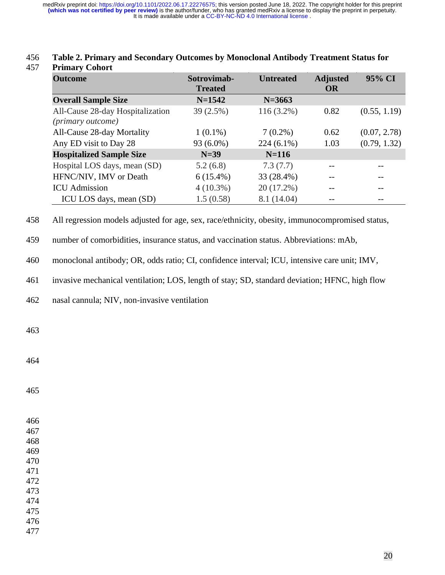| <b>Outcome</b>                                        | Sotrovimab-<br><b>Treated</b> | <b>Untreated</b> | <b>Adjusted</b><br><b>OR</b> | 95% CI       |
|-------------------------------------------------------|-------------------------------|------------------|------------------------------|--------------|
| <b>Overall Sample Size</b>                            | $N=1542$                      | $N = 3663$       |                              |              |
| All-Cause 28-day Hospitalization<br>(primary outcome) | 39 (2.5%)                     | $116(3.2\%)$     | 0.82                         | (0.55, 1.19) |
| All-Cause 28-day Mortality                            | $1(0.1\%)$                    | $7(0.2\%)$       | 0.62                         | (0.07, 2.78) |
| Any ED visit to Day 28                                | 93 (6.0%)                     | $224(6.1\%)$     | 1.03                         | (0.79, 1.32) |
| <b>Hospitalized Sample Size</b>                       | $N=39$                        | $N=116$          |                              |              |
| Hospital LOS days, mean (SD)                          | 5.2(6.8)                      | 7.3(7.7)         |                              |              |
| HFNC/NIV, IMV or Death                                | $6(15.4\%)$                   | 33 (28.4%)       |                              |              |
| <b>ICU</b> Admission                                  | $4(10.3\%)$                   | $20(17.2\%)$     |                              |              |
| ICU LOS days, mean (SD)                               | 1.5(0.58)                     | 8.1 (14.04)      |                              |              |

#### 456 **Table 2. Primary and Secondary Outcomes by Monoclonal Antibody Treatment Status for**  457 **Primary Cohort**

458 All regression models adjusted for age, sex, race/ethnicity, obesity, immunocompromised status,

459 number of comorbidities, insurance status, and vaccination status. Abbreviations: mAb,

460 monoclonal antibody; OR, odds ratio; CI, confidence interval; ICU, intensive care unit; IMV,

461 invasive mechanical ventilation; LOS, length of stay; SD, standard deviation; HFNC, high flow

462 nasal cannula; NIV, non-invasive ventilation

463

464

465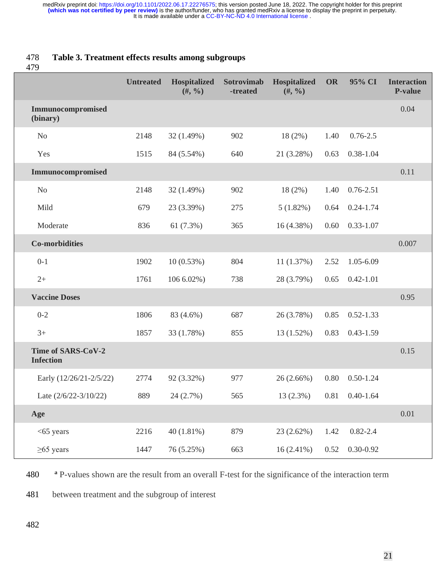## 478 **Table 3. Treatment effects results among subgroups**

479

|                                               | <b>Untreated</b> | <b>Hospitalized</b><br>$(#, \frac{9}{6})$ | Sotrovimab<br>-treated | <b>Hospitalized</b><br>$(#, \frac{9}{6})$ | OR   | 95% CI             | <b>Interaction</b><br>P-value |
|-----------------------------------------------|------------------|-------------------------------------------|------------------------|-------------------------------------------|------|--------------------|-------------------------------|
| Immunocompromised<br>(binary)                 |                  |                                           |                        |                                           |      |                    | 0.04                          |
| N <sub>o</sub>                                | 2148             | 32 (1.49%)                                | 902                    | $18(2\%)$                                 | 1.40 | $0.76 - 2.5$       |                               |
| Yes                                           | 1515             | 84 (5.54%)                                | 640                    | 21 (3.28%)                                | 0.63 | $0.38 - 1.04$      |                               |
| Immunocompromised                             |                  |                                           |                        |                                           |      |                    | 0.11                          |
| N <sub>o</sub>                                | 2148             | 32 (1.49%)                                | 902                    | $18(2\%)$                                 | 1.40 | $0.76 - 2.51$      |                               |
| Mild                                          | 679              | 23 (3.39%)                                | 275                    | 5(1.82%)                                  | 0.64 | $0.24 - 1.74$      |                               |
| Moderate                                      | 836              | 61(7.3%)                                  | 365                    | 16(4.38%)                                 | 0.60 | $0.33 - 1.07$      |                               |
| <b>Co-morbidities</b>                         |                  |                                           |                        |                                           |      |                    | 0.007                         |
| $0 - 1$                                       | 1902             | 10(0.53%)                                 | 804                    | 11(1.37%)                                 | 2.52 | $1.05 - 6.09$      |                               |
| $2+$                                          | 1761             | 106 6.02%)                                | 738                    | 28 (3.79%)                                | 0.65 | $0.42 - 1.01$      |                               |
| <b>Vaccine Doses</b>                          |                  |                                           |                        |                                           |      |                    | 0.95                          |
| $0 - 2$                                       | 1806             | 83 (4.6%)                                 | 687                    | 26 (3.78%)                                | 0.85 | $0.52 - 1.33$      |                               |
| $3+$                                          | 1857             | 33 (1.78%)                                | 855                    | 13 (1.52%)                                | 0.83 | $0.43 - 1.59$      |                               |
| <b>Time of SARS-CoV-2</b><br><b>Infection</b> |                  |                                           |                        |                                           |      |                    | 0.15                          |
| Early (12/26/21-2/5/22)                       | 2774             | 92 (3.32%)                                | 977                    | 26 (2.66%)                                | 0.80 | $0.50 - 1.24$      |                               |
| Late $(2/6/22-3/10/22)$                       | 889              | 24(2.7%)                                  | 565                    | $13(2.3\%)$                               |      | $0.81$ $0.40-1.64$ |                               |
| Age                                           |                  |                                           |                        |                                           |      |                    | 0.01                          |
| $<$ 65 years                                  | 2216             | 40 (1.81%)                                | 879                    | $23(2.62\%)$                              | 1.42 | $0.82 - 2.4$       |                               |
| $\geq 65$ years                               | 1447             | 76 (5.25%)                                | 663                    | $16(2.41\%)$                              | 0.52 | $0.30 - 0.92$      |                               |

**480 a** P-values shown are the result from an overall F-test for the significance of the interaction term

481 between treatment and the subgroup of interest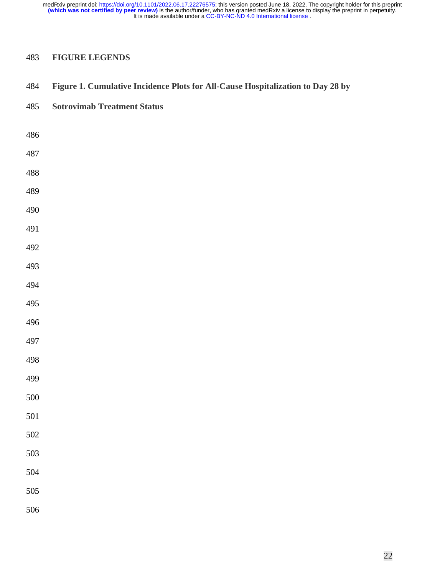## **FIGURE LEGENDS**

## **Figure 1. Cumulative Incidence Plots for All-Cause Hospitalization to Day 28 by**

#### **Sotrovimab Treatment Status**